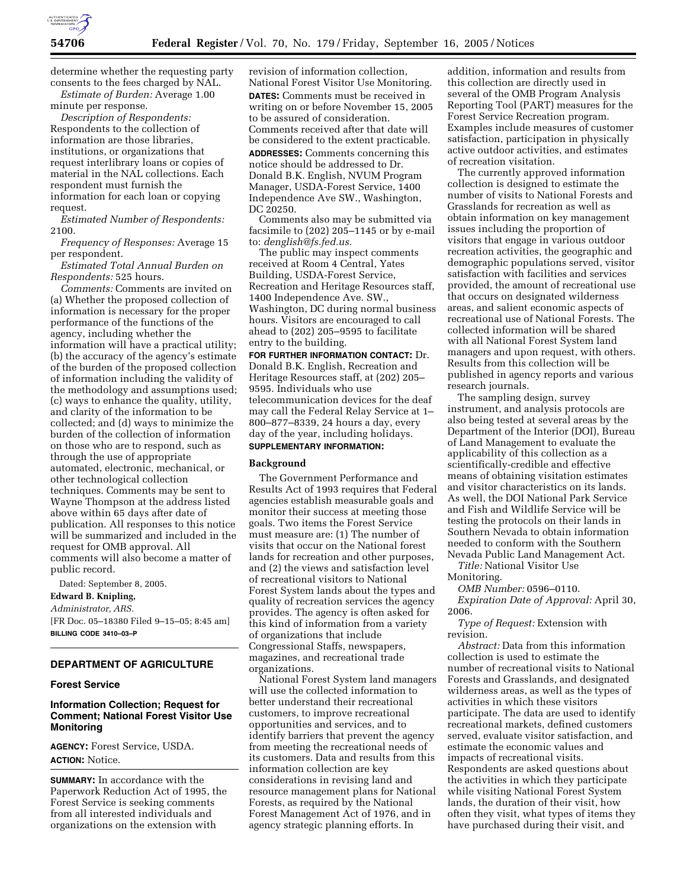

determine whether the requesting party consents to the fees charged by NAL. *Estimate of Burden:* Average 1.00

minute per response.

*Description of Respondents:*  Respondents to the collection of information are those libraries, institutions, or organizations that request interlibrary loans or copies of material in the NAL collections. Each respondent must furnish the information for each loan or copying request.

*Estimated Number of Respondents:*  2100.

*Frequency of Responses:* Average 15 per respondent.

*Estimated Total Annual Burden on Respondents:* 525 hours.

*Comments:* Comments are invited on (a) Whether the proposed collection of information is necessary for the proper performance of the functions of the agency, including whether the information will have a practical utility; (b) the accuracy of the agency's estimate of the burden of the proposed collection of information including the validity of the methodology and assumptions used; (c) ways to enhance the quality, utility, and clarity of the information to be collected; and (d) ways to minimize the burden of the collection of information on those who are to respond, such as through the use of appropriate automated, electronic, mechanical, or other technological collection techniques. Comments may be sent to Wayne Thompson at the address listed above within 65 days after date of publication. All responses to this notice will be summarized and included in the request for OMB approval. All comments will also become a matter of public record.

Dated: September 8, 2005.

**Edward B. Knipling,** 

*Administrator, ARS.*  [FR Doc. 05–18380 Filed 9–15–05; 8:45 am] **BILLING CODE 3410–03–P** 

# **DEPARTMENT OF AGRICULTURE**

### **Forest Service**

## **Information Collection; Request for Comment; National Forest Visitor Use Monitoring**

**AGENCY:** Forest Service, USDA. **ACTION:** Notice.

**SUMMARY:** In accordance with the Paperwork Reduction Act of 1995, the Forest Service is seeking comments from all interested individuals and organizations on the extension with

revision of information collection, National Forest Visitor Use Monitoring. **DATES:** Comments must be received in writing on or before November 15, 2005 to be assured of consideration. Comments received after that date will be considered to the extent practicable. **ADDRESSES:** Comments concerning this notice should be addressed to Dr. Donald B.K. English, NVUM Program Manager, USDA-Forest Service, 1400 Independence Ave SW., Washington, DC 20250.

Comments also may be submitted via facsimile to (202) 205–1145 or by e-mail to: *denglish@fs.fed.us.* 

The public may inspect comments received at Room 4 Central, Yates Building, USDA-Forest Service, Recreation and Heritage Resources staff, 1400 Independence Ave. SW., Washington, DC during normal business hours. Visitors are encouraged to call ahead to (202) 205–9595 to facilitate entry to the building.

**FOR FURTHER INFORMATION CONTACT:** Dr. Donald B.K. English, Recreation and Heritage Resources staff, at (202) 205– 9595. Individuals who use telecommunication devices for the deaf may call the Federal Relay Service at 1– 800–877–8339, 24 hours a day, every day of the year, including holidays. **SUPPLEMENTARY INFORMATION:** 

## **Background**

The Government Performance and Results Act of 1993 requires that Federal agencies establish measurable goals and monitor their success at meeting those goals. Two items the Forest Service must measure are: (1) The number of visits that occur on the National forest lands for recreation and other purposes, and (2) the views and satisfaction level of recreational visitors to National Forest System lands about the types and quality of recreation services the agency provides. The agency is often asked for this kind of information from a variety of organizations that include Congressional Staffs, newspapers, magazines, and recreational trade organizations.

National Forest System land managers will use the collected information to better understand their recreational customers, to improve recreational opportunities and services, and to identify barriers that prevent the agency from meeting the recreational needs of its customers. Data and results from this information collection are key considerations in revising land and resource management plans for National Forests, as required by the National Forest Management Act of 1976, and in agency strategic planning efforts. In

addition, information and results from this collection are directly used in several of the OMB Program Analysis Reporting Tool (PART) measures for the Forest Service Recreation program. Examples include measures of customer satisfaction, participation in physically active outdoor activities, and estimates of recreation visitation.

The currently approved information collection is designed to estimate the number of visits to National Forests and Grasslands for recreation as well as obtain information on key management issues including the proportion of visitors that engage in various outdoor recreation activities, the geographic and demographic populations served, visitor satisfaction with facilities and services provided, the amount of recreational use that occurs on designated wilderness areas, and salient economic aspects of recreational use of National Forests. The collected information will be shared with all National Forest System land managers and upon request, with others. Results from this collection will be published in agency reports and various research journals.

The sampling design, survey instrument, and analysis protocols are also being tested at several areas by the Department of the Interior (DOI), Bureau of Land Management to evaluate the applicability of this collection as a scientifically-credible and effective means of obtaining visitation estimates and visitor characteristics on its lands. As well, the DOI National Park Service and Fish and Wildlife Service will be testing the protocols on their lands in Southern Nevada to obtain information needed to conform with the Southern Nevada Public Land Management Act.

*Title:* National Visitor Use Monitoring.

*OMB Number:* 0596–0110.

*Expiration Date of Approval:* April 30, 2006.

*Type of Request:* Extension with revision.

*Abstract:* Data from this information collection is used to estimate the number of recreational visits to National Forests and Grasslands, and designated wilderness areas, as well as the types of activities in which these visitors participate. The data are used to identify recreational markets, defined customers served, evaluate visitor satisfaction, and estimate the economic values and impacts of recreational visits. Respondents are asked questions about the activities in which they participate while visiting National Forest System lands, the duration of their visit, how often they visit, what types of items they have purchased during their visit, and